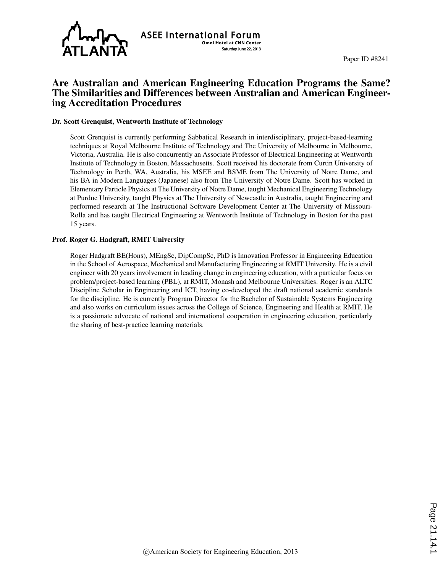

# Are Australian and American Engineering Education Programs the Same? The Similarities and Differences between Australian and American Engineering Accreditation Procedures

#### Dr. Scott Grenquist, Wentworth Institute of Technology

Scott Grenquist is currently performing Sabbatical Research in interdisciplinary, project-based-learning techniques at Royal Melbourne Institute of Technology and The University of Melbourne in Melbourne, Victoria, Australia. He is also concurrently an Associate Professor of Electrical Engineering at Wentworth Institute of Technology in Boston, Massachusetts. Scott received his doctorate from Curtin University of Technology in Perth, WA, Australia, his MSEE and BSME from The University of Notre Dame, and his BA in Modern Languages (Japanese) also from The University of Notre Dame. Scott has worked in Elementary Particle Physics at The University of Notre Dame, taught Mechanical Engineering Technology at Purdue University, taught Physics at The University of Newcastle in Australia, taught Engineering and performed research at The Instructional Software Development Center at The University of Missouri-Rolla and has taught Electrical Engineering at Wentworth Institute of Technology in Boston for the past 15 years.

#### Prof. Roger G. Hadgraft, RMIT University

Roger Hadgraft BE(Hons), MEngSc, DipCompSc, PhD is Innovation Professor in Engineering Education in the School of Aerospace, Mechanical and Manufacturing Engineering at RMIT University. He is a civil engineer with 20 years involvement in leading change in engineering education, with a particular focus on problem/project-based learning (PBL), at RMIT, Monash and Melbourne Universities. Roger is an ALTC Discipline Scholar in Engineering and ICT, having co-developed the draft national academic standards for the discipline. He is currently Program Director for the Bachelor of Sustainable Systems Engineering and also works on curriculum issues across the College of Science, Engineering and Health at RMIT. He is a passionate advocate of national and international cooperation in engineering education, particularly the sharing of best-practice learning materials.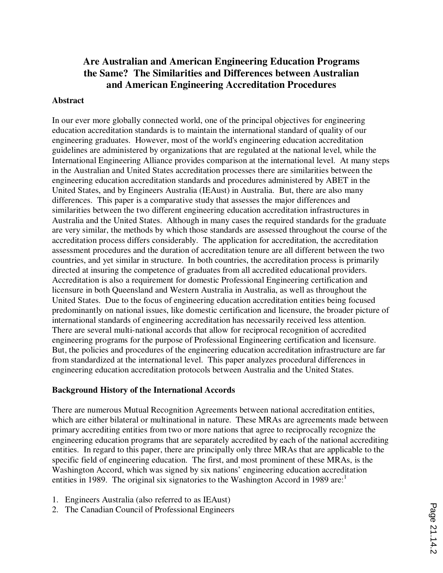# **Are Australian and American Engineering Education Programs the Same? The Similarities and Differences between Australian and American Engineering Accreditation Procedures**

### **Abstract**

In our ever more globally connected world, one of the principal objectives for engineering education accreditation standards is to maintain the international standard of quality of our engineering graduates. However, most of the world's engineering education accreditation guidelines are administered by organizations that are regulated at the national level, while the International Engineering Alliance provides comparison at the international level. At many steps in the Australian and United States accreditation processes there are similarities between the engineering education accreditation standards and procedures administered by ABET in the United States, and by Engineers Australia (IEAust) in Australia. But, there are also many differences. This paper is a comparative study that assesses the major differences and similarities between the two different engineering education accreditation infrastructures in Australia and the United States. Although in many cases the required standards for the graduate are very similar, the methods by which those standards are assessed throughout the course of the accreditation process differs considerably. The application for accreditation, the accreditation assessment procedures and the duration of accreditation tenure are all different between the two countries, and yet similar in structure. In both countries, the accreditation process is primarily directed at insuring the competence of graduates from all accredited educational providers. Accreditation is also a requirement for domestic Professional Engineering certification and licensure in both Queensland and Western Australia in Australia, as well as throughout the United States. Due to the focus of engineering education accreditation entities being focused predominantly on national issues, like domestic certification and licensure, the broader picture of international standards of engineering accreditation has necessarily received less attention. There are several multi-national accords that allow for reciprocal recognition of accredited engineering programs for the purpose of Professional Engineering certification and licensure. But, the policies and procedures of the engineering education accreditation infrastructure are far from standardized at the international level. This paper analyzes procedural differences in engineering education accreditation protocols between Australia and the United States.

## **Background History of the International Accords**

There are numerous Mutual Recognition Agreements between national accreditation entities, which are either bilateral or multinational in nature. These MRAs are agreements made between primary accrediting entities from two or more nations that agree to reciprocally recognize the engineering education programs that are separately accredited by each of the national accrediting entities. In regard to this paper, there are principally only three MRAs that are applicable to the specific field of engineering education. The first, and most prominent of these MRAs, is the Washington Accord, which was signed by six nations' engineering education accreditation entities in 1989. The original six signatories to the Washington Accord in 1989 are:<sup>1</sup>

- 1. Engineers Australia (also referred to as IEAust)
- 2. The Canadian Council of Professional Engineers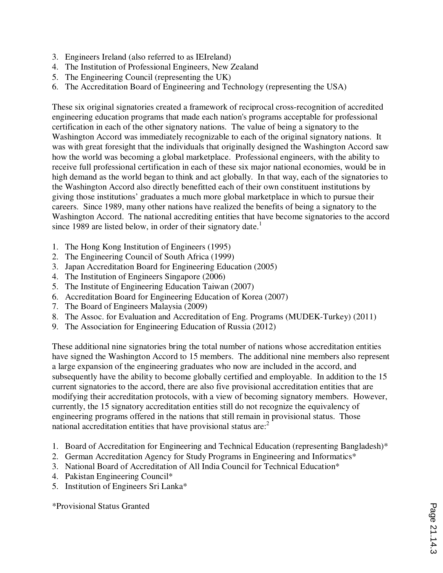- 3. Engineers Ireland (also referred to as IEIreland)
- 4. The Institution of Professional Engineers, New Zealand
- 5. The Engineering Council (representing the UK)
- 6. The Accreditation Board of Engineering and Technology (representing the USA)

These six original signatories created a framework of reciprocal cross-recognition of accredited engineering education programs that made each nation's programs acceptable for professional certification in each of the other signatory nations. The value of being a signatory to the Washington Accord was immediately recognizable to each of the original signatory nations. It was with great foresight that the individuals that originally designed the Washington Accord saw how the world was becoming a global marketplace. Professional engineers, with the ability to receive full professional certification in each of these six major national economies, would be in high demand as the world began to think and act globally. In that way, each of the signatories to the Washington Accord also directly benefitted each of their own constituent institutions by giving those institutions' graduates a much more global marketplace in which to pursue their careers. Since 1989, many other nations have realized the benefits of being a signatory to the Washington Accord. The national accrediting entities that have become signatories to the accord since 1989 are listed below, in order of their signatory date.<sup>1</sup>

- 1. The Hong Kong Institution of Engineers (1995)
- 2. The Engineering Council of South Africa (1999)
- 3. Japan Accreditation Board for Engineering Education (2005)
- 4. The Institution of Engineers Singapore (2006)
- 5. The Institute of Engineering Education Taiwan (2007)
- 6. Accreditation Board for Engineering Education of Korea (2007)
- 7. The Board of Engineers Malaysia (2009)
- 8. The Assoc. for Evaluation and Accreditation of Eng. Programs (MUDEK-Turkey) (2011)
- 9. The Association for Engineering Education of Russia (2012)

These additional nine signatories bring the total number of nations whose accreditation entities have signed the Washington Accord to 15 members. The additional nine members also represent a large expansion of the engineering graduates who now are included in the accord, and subsequently have the ability to become globally certified and employable. In addition to the 15 current signatories to the accord, there are also five provisional accreditation entities that are modifying their accreditation protocols, with a view of becoming signatory members. However, currently, the 15 signatory accreditation entities still do not recognize the equivalency of engineering programs offered in the nations that still remain in provisional status. Those national accreditation entities that have provisional status  $are^2$ .

- 1. Board of Accreditation for Engineering and Technical Education (representing Bangladesh)\*
- 2. German Accreditation Agency for Study Programs in Engineering and Informatics\*
- 3. National Board of Accreditation of All India Council for Technical Education\*
- 4. Pakistan Engineering Council\*
- 5. Institution of Engineers Sri Lanka\*

\*Provisional Status Granted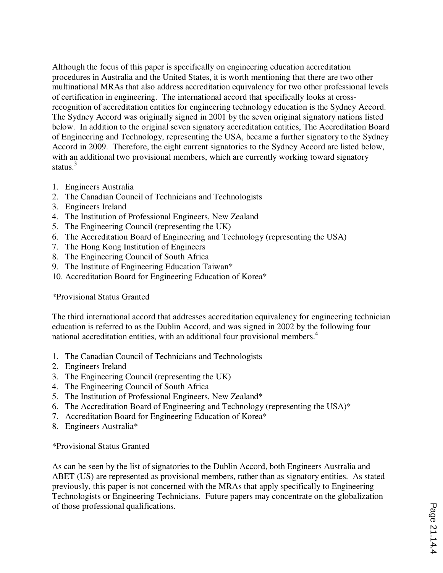Although the focus of this paper is specifically on engineering education accreditation procedures in Australia and the United States, it is worth mentioning that there are two other multinational MRAs that also address accreditation equivalency for two other professional levels of certification in engineering. The international accord that specifically looks at crossrecognition of accreditation entities for engineering technology education is the Sydney Accord. The Sydney Accord was originally signed in 2001 by the seven original signatory nations listed below. In addition to the original seven signatory accreditation entities, The Accreditation Board of Engineering and Technology, representing the USA, became a further signatory to the Sydney Accord in 2009. Therefore, the eight current signatories to the Sydney Accord are listed below, with an additional two provisional members, which are currently working toward signatory status. $3$ 

- 1. Engineers Australia
- 2. The Canadian Council of Technicians and Technologists
- 3. Engineers Ireland
- 4. The Institution of Professional Engineers, New Zealand
- 5. The Engineering Council (representing the UK)
- 6. The Accreditation Board of Engineering and Technology (representing the USA)
- 7. The Hong Kong Institution of Engineers
- 8. The Engineering Council of South Africa
- 9. The Institute of Engineering Education Taiwan\*
- 10. Accreditation Board for Engineering Education of Korea\*

\*Provisional Status Granted

The third international accord that addresses accreditation equivalency for engineering technician education is referred to as the Dublin Accord, and was signed in 2002 by the following four national accreditation entities, with an additional four provisional members.<sup>4</sup>

- 1. The Canadian Council of Technicians and Technologists
- 2. Engineers Ireland
- 3. The Engineering Council (representing the UK)
- 4. The Engineering Council of South Africa
- 5. The Institution of Professional Engineers, New Zealand\*
- 6. The Accreditation Board of Engineering and Technology (representing the USA)\*
- 7. Accreditation Board for Engineering Education of Korea\*
- 8. Engineers Australia\*

\*Provisional Status Granted

As can be seen by the list of signatories to the Dublin Accord, both Engineers Australia and ABET (US) are represented as provisional members, rather than as signatory entities. As stated previously, this paper is not concerned with the MRAs that apply specifically to Engineering Technologists or Engineering Technicians. Future papers may concentrate on the globalization of those professional qualifications.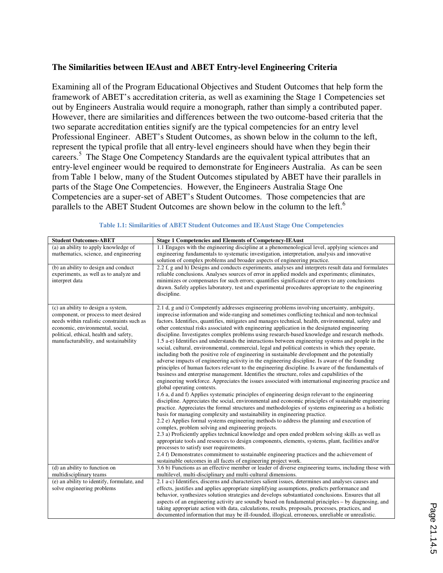### **The Similarities between IEAust and ABET Entry-level Engineering Criteria**

Examining all of the Program Educational Objectives and Student Outcomes that help form the framework of ABET's accreditation criteria, as well as examining the Stage 1 Competencies set out by Engineers Australia would require a monograph, rather than simply a contributed paper. However, there are similarities and differences between the two outcome-based criteria that the two separate accreditation entities signify are the typical competencies for an entry level Professional Engineer. ABET's Student Outcomes, as shown below in the column to the left, represent the typical profile that all entry-level engineers should have when they begin their careers.<sup>5</sup> The Stage One Competency Standards are the equivalent typical attributes that an entry-level engineer would be required to demonstrate for Engineers Australia. As can be seen from Table 1 below, many of the Student Outcomes stipulated by ABET have their parallels in parts of the Stage One Competencies. However, the Engineers Australia Stage One Competencies are a super-set of ABET's Student Outcomes. Those competencies that are parallels to the ABET Student Outcomes are shown below in the column to the left.<sup>6</sup>

| <b>Student Outcomes-ABET</b>                                                                                                                                                                                                                     | <b>Stage 1 Competencies and Elements of Competency-IEAust</b>                                                                                                                                                                                                                                                                                                                                                                                                                                                                                                                                                                                                                                                                                                                                                                                                                                                                                                                                                                                                                                                                                                                                                                                                                                                                                                                                                                                                                                                                                                                                                                                                                                                                                                                                                                                                                                                                                                                                                                                                                                                                                                                                                                           |
|--------------------------------------------------------------------------------------------------------------------------------------------------------------------------------------------------------------------------------------------------|-----------------------------------------------------------------------------------------------------------------------------------------------------------------------------------------------------------------------------------------------------------------------------------------------------------------------------------------------------------------------------------------------------------------------------------------------------------------------------------------------------------------------------------------------------------------------------------------------------------------------------------------------------------------------------------------------------------------------------------------------------------------------------------------------------------------------------------------------------------------------------------------------------------------------------------------------------------------------------------------------------------------------------------------------------------------------------------------------------------------------------------------------------------------------------------------------------------------------------------------------------------------------------------------------------------------------------------------------------------------------------------------------------------------------------------------------------------------------------------------------------------------------------------------------------------------------------------------------------------------------------------------------------------------------------------------------------------------------------------------------------------------------------------------------------------------------------------------------------------------------------------------------------------------------------------------------------------------------------------------------------------------------------------------------------------------------------------------------------------------------------------------------------------------------------------------------------------------------------------------|
| (a) an ability to apply knowledge of<br>mathematics, science, and engineering                                                                                                                                                                    | 1.1 Engages with the engineering discipline at a phenomenological level, applying sciences and<br>engineering fundamentals to systematic investigation, interpretation, analysis and innovative<br>solution of complex problems and broader aspects of engineering practice.                                                                                                                                                                                                                                                                                                                                                                                                                                                                                                                                                                                                                                                                                                                                                                                                                                                                                                                                                                                                                                                                                                                                                                                                                                                                                                                                                                                                                                                                                                                                                                                                                                                                                                                                                                                                                                                                                                                                                            |
| (b) an ability to design and conduct<br>experiments, as well as to analyze and<br>interpret data                                                                                                                                                 | 2.2 f, g and h) Designs and conducts experiments, analyses and interprets result data and formulates<br>reliable conclusions. Analyses sources of error in applied models and experiments; eliminates,<br>minimizes or compensates for such errors; quantifies significance of errors to any conclusions<br>drawn. Safely applies laboratory, test and experimental procedures appropriate to the engineering<br>discipline.                                                                                                                                                                                                                                                                                                                                                                                                                                                                                                                                                                                                                                                                                                                                                                                                                                                                                                                                                                                                                                                                                                                                                                                                                                                                                                                                                                                                                                                                                                                                                                                                                                                                                                                                                                                                            |
| (c) an ability to design a system,<br>component, or process to meet desired<br>needs within realistic constraints such as<br>economic, environmental, social,<br>political, ethical, health and safety,<br>manufacturability, and sustainability | 2.1 d, g and i) Competently addresses engineering problems involving uncertainty, ambiguity,<br>imprecise information and wide-ranging and sometimes conflicting technical and non-technical<br>factors. Identifies, quantifies, mitigates and manages technical, health, environmental, safety and<br>other contextual risks associated with engineering application in the designated engineering<br>discipline. Investigates complex problems using research-based knowledge and research methods.<br>1.5 a-e) Identifies and understands the interactions between engineering systems and people in the<br>social, cultural, environmental, commercial, legal and political contexts in which they operate,<br>including both the positive role of engineering in sustainable development and the potentially<br>adverse impacts of engineering activity in the engineering discipline. Is aware of the founding<br>principles of human factors relevant to the engineering discipline. Is aware of the fundamentals of<br>business and enterprise management. Identifies the structure, roles and capabilities of the<br>engineering workforce. Appreciates the issues associated with international engineering practice and<br>global operating contexts.<br>1.6 a, d and f) Applies systematic principles of engineering design relevant to the engineering<br>discipline. Appreciates the social, environmental and economic principles of sustainable engineering<br>practice. Appreciates the formal structures and methodologies of systems engineering as a holistic<br>basis for managing complexity and sustainability in engineering practice.<br>2.2 e) Applies formal systems engineering methods to address the planning and execution of<br>complex, problem solving and engineering projects.<br>2.3 a) Proficiently applies technical knowledge and open ended problem solving skills as well as<br>appropriate tools and resources to design components, elements, systems, plant, facilities and/or<br>processes to satisfy user requirements.<br>2.4 f) Demonstrates commitment to sustainable engineering practices and the achievement of<br>sustainable outcomes in all facets of engineering project work. |
| (d) an ability to function on                                                                                                                                                                                                                    | 3.6 b) Functions as an effective member or leader of diverse engineering teams, including those with                                                                                                                                                                                                                                                                                                                                                                                                                                                                                                                                                                                                                                                                                                                                                                                                                                                                                                                                                                                                                                                                                                                                                                                                                                                                                                                                                                                                                                                                                                                                                                                                                                                                                                                                                                                                                                                                                                                                                                                                                                                                                                                                    |
| multidisciplinary teams                                                                                                                                                                                                                          | multilevel, multi-disciplinary and multi-cultural dimensions.                                                                                                                                                                                                                                                                                                                                                                                                                                                                                                                                                                                                                                                                                                                                                                                                                                                                                                                                                                                                                                                                                                                                                                                                                                                                                                                                                                                                                                                                                                                                                                                                                                                                                                                                                                                                                                                                                                                                                                                                                                                                                                                                                                           |
| (e) an ability to identify, formulate, and<br>solve engineering problems                                                                                                                                                                         | 2.1 a-c) Identifies, discerns and characterizes salient issues, determines and analyses causes and<br>effects, justifies and applies appropriate simplifying assumptions, predicts performance and                                                                                                                                                                                                                                                                                                                                                                                                                                                                                                                                                                                                                                                                                                                                                                                                                                                                                                                                                                                                                                                                                                                                                                                                                                                                                                                                                                                                                                                                                                                                                                                                                                                                                                                                                                                                                                                                                                                                                                                                                                      |
|                                                                                                                                                                                                                                                  | behavior, synthesizes solution strategies and develops substantiated conclusions. Ensures that all                                                                                                                                                                                                                                                                                                                                                                                                                                                                                                                                                                                                                                                                                                                                                                                                                                                                                                                                                                                                                                                                                                                                                                                                                                                                                                                                                                                                                                                                                                                                                                                                                                                                                                                                                                                                                                                                                                                                                                                                                                                                                                                                      |
|                                                                                                                                                                                                                                                  | aspects of an engineering activity are soundly based on fundamental principles – by diagnosing, and                                                                                                                                                                                                                                                                                                                                                                                                                                                                                                                                                                                                                                                                                                                                                                                                                                                                                                                                                                                                                                                                                                                                                                                                                                                                                                                                                                                                                                                                                                                                                                                                                                                                                                                                                                                                                                                                                                                                                                                                                                                                                                                                     |
|                                                                                                                                                                                                                                                  | taking appropriate action with data, calculations, results, proposals, processes, practices, and                                                                                                                                                                                                                                                                                                                                                                                                                                                                                                                                                                                                                                                                                                                                                                                                                                                                                                                                                                                                                                                                                                                                                                                                                                                                                                                                                                                                                                                                                                                                                                                                                                                                                                                                                                                                                                                                                                                                                                                                                                                                                                                                        |
|                                                                                                                                                                                                                                                  | documented information that may be ill-founded, illogical, erroneous, unreliable or unrealistic.                                                                                                                                                                                                                                                                                                                                                                                                                                                                                                                                                                                                                                                                                                                                                                                                                                                                                                                                                                                                                                                                                                                                                                                                                                                                                                                                                                                                                                                                                                                                                                                                                                                                                                                                                                                                                                                                                                                                                                                                                                                                                                                                        |

**Table 1.1: Similarities of ABET Student Outcomes and IEAust Stage One Competencies**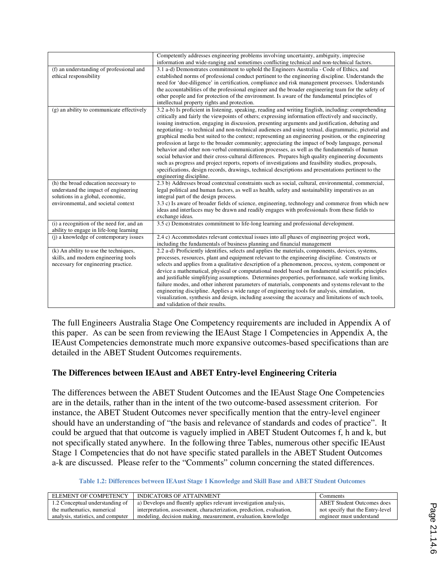|                                           | Competently addresses engineering problems involving uncertainty, ambiguity, imprecise                |
|-------------------------------------------|-------------------------------------------------------------------------------------------------------|
|                                           | information and wide-ranging and sometimes conflicting technical and non-technical factors.           |
| (f) an understanding of professional and  | 3.1 a-d) Demonstrates commitment to uphold the Engineers Australia - Code of Ethics, and              |
| ethical responsibility                    | established norms of professional conduct pertinent to the engineering discipline. Understands the    |
|                                           | need for 'due-diligence' in certification, compliance and risk management processes. Understands      |
|                                           | the accountabilities of the professional engineer and the broader engineering team for the safety of  |
|                                           | other people and for protection of the environment. Is aware of the fundamental principles of         |
|                                           | intellectual property rights and protection.                                                          |
| (g) an ability to communicate effectively | 3.2 a-b) Is proficient in listening, speaking, reading and writing English, including: comprehending  |
|                                           | critically and fairly the viewpoints of others; expressing information effectively and succinctly,    |
|                                           | issuing instruction, engaging in discussion, presenting arguments and justification, debating and     |
|                                           | negotiating - to technical and non-technical audiences and using textual, diagrammatic, pictorial and |
|                                           | graphical media best suited to the context; representing an engineering position, or the engineering  |
|                                           | profession at large to the broader community; appreciating the impact of body language, personal      |
|                                           | behavior and other non-verbal communication processes, as well as the fundamentals of human           |
|                                           | social behavior and their cross-cultural differences. Prepares high quality engineering documents     |
|                                           | such as progress and project reports, reports of investigations and feasibility studies, proposals,   |
|                                           | specifications, design records, drawings, technical descriptions and presentations pertinent to the   |
|                                           | engineering discipline.                                                                               |
| (h) the broad education necessary to      | 2.3 b) Addresses broad contextual constraints such as social, cultural, environmental, commercial,    |
| understand the impact of engineering      | legal political and human factors, as well as health, safety and sustainability imperatives as an     |
| solutions in a global, economic,          | integral part of the design process.                                                                  |
| environmental, and societal context       | 3.3 c) Is aware of broader fields of science, engineering, technology and commerce from which new     |
|                                           | ideas and interfaces may be drawn and readily engages with professionals from these fields to         |
|                                           | exchange ideas.                                                                                       |
| (i) a recognition of the need for, and an | 3.5 c) Demonstrates commitment to life-long learning and professional development.                    |
| ability to engage in life-long learning   |                                                                                                       |
| (i) a knowledge of contemporary issues    | 2.4 c) Accommodates relevant contextual issues into all phases of engineering project work,           |
|                                           | including the fundamentals of business planning and financial management                              |
| (k) An ability to use the techniques,     | 2.2 a-d) Proficiently identifies, selects and applies the materials, components, devices, systems,    |
| skills, and modern engineering tools      | processes, resources, plant and equipment relevant to the engineering discipline. Constructs or       |
| necessary for engineering practice.       | selects and applies from a qualitative description of a phenomenon, process, system, component or     |
|                                           | device a mathematical, physical or computational model based on fundamental scientific principles     |
|                                           | and justifiable simplifying assumptions. Determines properties, performance, safe working limits,     |
|                                           | failure modes, and other inherent parameters of materials, components and systems relevant to the     |
|                                           | engineering discipline. Applies a wide range of engineering tools for analysis, simulation,           |
|                                           | visualization, synthesis and design, including assessing the accuracy and limitations of such tools,  |
|                                           | and validation of their results.                                                                      |

The full Engineers Australia Stage One Competency requirements are included in Appendix A of this paper. As can be seen from reviewing the IEAust Stage 1 Competencies in Appendix A, the IEAust Competencies demonstrate much more expansive outcomes-based specifications than are detailed in the ABET Student Outcomes requirements.

## **The Differences between IEAust and ABET Entry-level Engineering Criteria**

The differences between the ABET Student Outcomes and the IEAust Stage One Competencies are in the details, rather than in the intent of the two outcome-based assessment criterion. For instance, the ABET Student Outcomes never specifically mention that the entry-level engineer should have an understanding of "the basis and relevance of standards and codes of practice". It could be argued that that outcome is vaguely implied in ABET Student Outcomes f, h and k, but not specifically stated anywhere. In the following three Tables, numerous other specific IEAust Stage 1 Competencies that do not have specific stated parallels in the ABET Student Outcomes a-k are discussed. Please refer to the "Comments" column concerning the stated differences.

#### **Table 1.2: Differences between IEAust Stage 1 Knowledge and Skill Base and ABET Student Outcomes**

| ELEMENT OF COMPETENCY              | INDICATORS OF ATTAINMENT                                              | Comments                          |
|------------------------------------|-----------------------------------------------------------------------|-----------------------------------|
| 1.2 Conceptual understanding of    | a) Develops and fluently applies relevant investigation analysis,     | <b>ABET Student Outcomes does</b> |
| the mathematics, numerical         | interpretation, assessment, characterization, prediction, evaluation, | not specify that the Entry-level  |
| analysis, statistics, and computer | modeling, decision making, measurement, evaluation, knowledge         | engineer must understand          |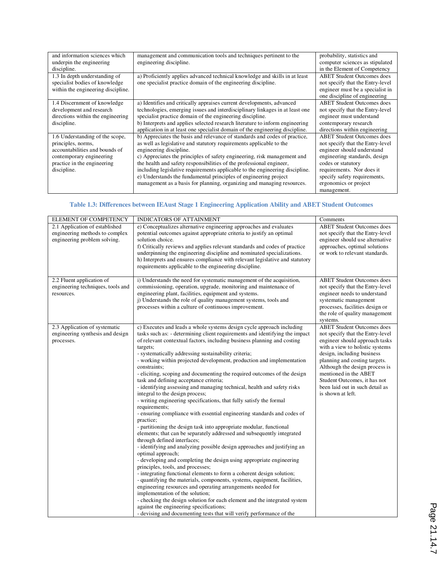| and information sciences which     | management and communication tools and techniques pertinent to the           | probability, statistics and       |
|------------------------------------|------------------------------------------------------------------------------|-----------------------------------|
| underpin the engineering           | engineering discipline.                                                      | computer sciences as stipulated   |
| discipline.                        |                                                                              | in the Element of Competency      |
| 1.3 In depth understanding of      | a) Proficiently applies advanced technical knowledge and skills in at least  | <b>ABET</b> Student Outcomes does |
| specialist bodies of knowledge     | one specialist practice domain of the engineering discipline.                | not specify that the Entry-level  |
| within the engineering discipline. |                                                                              | engineer must be a specialist in  |
|                                    |                                                                              | one discipline of engineering     |
| 1.4 Discernment of knowledge       | a) Identifies and critically appraises current developments, advanced        | <b>ABET</b> Student Outcomes does |
| development and research           | technologies, emerging issues and interdisciplinary linkages in at least one | not specify that the Entry-level  |
| directions within the engineering  | specialist practice domain of the engineering discipline.                    | engineer must understand          |
| discipline.                        | b) Interprets and applies selected research literature to inform engineering | contemporary research             |
|                                    | application in at least one specialist domain of the engineering discipline. | directions within engineering     |
| 1.6 Understanding of the scope,    | b) Appreciates the basis and relevance of standards and codes of practice,   | <b>ABET</b> Student Outcomes does |
| principles, norms,                 | as well as legislative and statutory requirements applicable to the          | not specify that the Entry-level  |
| accountabilities and bounds of     | engineering discipline.                                                      | engineer should understand        |
| contemporary engineering           | c) Appreciates the principles of safety engineering, risk management and     | engineering standards, design     |
| practice in the engineering        | the health and safety responsibilities of the professional engineer,         | codes or statutory                |
| discipline.                        | including legislative requirements applicable to the engineering discipline. | requirements. Nor does it         |
|                                    | e) Understands the fundamental principles of engineering project             | specify safety requirements,      |
|                                    | management as a basis for planning, organizing and managing resources.       | ergonomics or project             |
|                                    |                                                                              | management.                       |

#### **Table 1.3: Differences between IEAust Stage 1 Engineering Application Ability and ABET Student Outcomes**

| ELEMENT OF COMPETENCY                                                                            | INDICATORS OF ATTAINMENT                                                                                                                                                                                                                                                                                                                                                                                                                                                                                                                                                                                                                                                                                                                                                                                                                                                                                                                                                                                                                                                                                                                                                                                                                                                                                                                                                                                                                                                                                                                                                                                                                                              | Comments                                                                                                                                                                                                                                                                                                                                                     |
|--------------------------------------------------------------------------------------------------|-----------------------------------------------------------------------------------------------------------------------------------------------------------------------------------------------------------------------------------------------------------------------------------------------------------------------------------------------------------------------------------------------------------------------------------------------------------------------------------------------------------------------------------------------------------------------------------------------------------------------------------------------------------------------------------------------------------------------------------------------------------------------------------------------------------------------------------------------------------------------------------------------------------------------------------------------------------------------------------------------------------------------------------------------------------------------------------------------------------------------------------------------------------------------------------------------------------------------------------------------------------------------------------------------------------------------------------------------------------------------------------------------------------------------------------------------------------------------------------------------------------------------------------------------------------------------------------------------------------------------------------------------------------------------|--------------------------------------------------------------------------------------------------------------------------------------------------------------------------------------------------------------------------------------------------------------------------------------------------------------------------------------------------------------|
| 2.1 Application of established<br>engineering methods to complex<br>engineering problem solving. | e) Conceptualizes alternative engineering approaches and evaluates<br>potential outcomes against appropriate criteria to justify an optimal<br>solution choice.<br>f) Critically reviews and applies relevant standards and codes of practice<br>underpinning the engineering discipline and nominated specializations.<br>h) Interprets and ensures compliance with relevant legislative and statutory<br>requirements applicable to the engineering discipline.                                                                                                                                                                                                                                                                                                                                                                                                                                                                                                                                                                                                                                                                                                                                                                                                                                                                                                                                                                                                                                                                                                                                                                                                     | <b>ABET Student Outcomes does</b><br>not specify that the Entry-level<br>engineer should use alternative<br>approaches, optimal solutions<br>or work to relevant standards.                                                                                                                                                                                  |
| 2.2 Fluent application of<br>engineering techniques, tools and<br>resources.                     | i) Understands the need for systematic management of the acquisition,<br>commissioning, operation, upgrade, monitoring and maintenance of<br>engineering plant, facilities, equipment and systems.<br>i) Understands the role of quality management systems, tools and<br>processes within a culture of continuous improvement.                                                                                                                                                                                                                                                                                                                                                                                                                                                                                                                                                                                                                                                                                                                                                                                                                                                                                                                                                                                                                                                                                                                                                                                                                                                                                                                                       | <b>ABET Student Outcomes does</b><br>not specify that the Entry-level<br>engineer needs to understand<br>systematic management<br>processes, facilities design or<br>the role of quality management<br>systems.                                                                                                                                              |
| 2.3 Application of systematic<br>engineering synthesis and design<br>processes.                  | c) Executes and leads a whole systems design cycle approach including<br>tasks such as: - determining client requirements and identifying the impact<br>of relevant contextual factors, including business planning and costing<br>targets;<br>- systematically addressing sustainability criteria;<br>- working within projected development, production and implementation<br>constraints;<br>- eliciting, scoping and documenting the required outcomes of the design<br>task and defining acceptance criteria;<br>- identifying assessing and managing technical, health and safety risks<br>integral to the design process;<br>- writing engineering specifications, that fully satisfy the formal<br>requirements;<br>- ensuring compliance with essential engineering standards and codes of<br>practice:<br>- partitioning the design task into appropriate modular, functional<br>elements; that can be separately addressed and subsequently integrated<br>through defined interfaces;<br>- identifying and analyzing possible design approaches and justifying an<br>optimal approach;<br>- developing and completing the design using appropriate engineering<br>principles, tools, and processes;<br>- integrating functional elements to form a coherent design solution;<br>- quantifying the materials, components, systems, equipment, facilities,<br>engineering resources and operating arrangements needed for<br>implementation of the solution;<br>- checking the design solution for each element and the integrated system<br>against the engineering specifications;<br>- devising and documenting tests that will verify performance of the | <b>ABET Student Outcomes does</b><br>not specify that the Entry-level<br>engineer should approach tasks<br>with a view to holistic systems<br>design, including business<br>planning and costing targets.<br>Although the design process is<br>mentioned in the ABET<br>Student Outcomes, it has not<br>been laid out in such detail as<br>is shown at left. |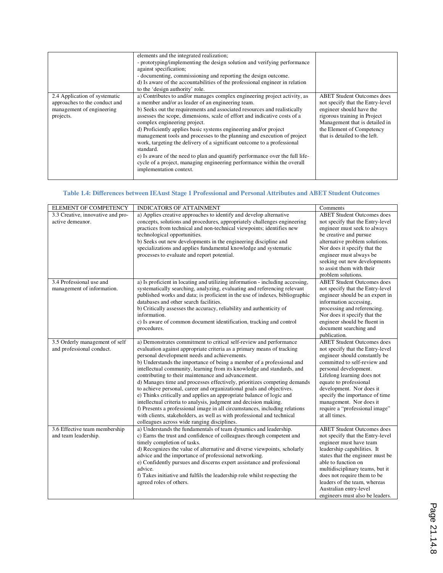|                                                                                                          | elements and the integrated realization;<br>- prototyping/implementing the design solution and verifying performance<br>against specification;<br>- documenting, commissioning and reporting the design outcome.<br>d) Is aware of the accountabilities of the professional engineer in relation<br>to the 'design authority' role.                                                                                                                                                                                                                                                                                                                                                                                                                  |                                                                                                                                                                                                                                   |
|----------------------------------------------------------------------------------------------------------|------------------------------------------------------------------------------------------------------------------------------------------------------------------------------------------------------------------------------------------------------------------------------------------------------------------------------------------------------------------------------------------------------------------------------------------------------------------------------------------------------------------------------------------------------------------------------------------------------------------------------------------------------------------------------------------------------------------------------------------------------|-----------------------------------------------------------------------------------------------------------------------------------------------------------------------------------------------------------------------------------|
| 2.4 Application of systematic<br>approaches to the conduct and<br>management of engineering<br>projects. | a) Contributes to and/or manages complex engineering project activity, as<br>a member and/or as leader of an engineering team.<br>b) Seeks out the requirements and associated resources and realistically<br>assesses the scope, dimensions, scale of effort and indicative costs of a<br>complex engineering project.<br>d) Proficiently applies basic systems engineering and/or project<br>management tools and processes to the planning and execution of project<br>work, targeting the delivery of a significant outcome to a professional<br>standard.<br>e) Is aware of the need to plan and quantify performance over the full life-<br>cycle of a project, managing engineering performance within the overall<br>implementation context. | <b>ABET</b> Student Outcomes does<br>not specify that the Entry-level<br>engineer should have the<br>rigorous training in Project<br>Management that is detailed in<br>the Element of Competency<br>that is detailed to the left. |

# **Table 1.4: Differences between IEAust Stage 1 Professional and Personal Attributes and ABET Student Outcomes**

| ELEMENT OF COMPETENCY                                       | INDICATORS OF ATTAINMENT                                                                                                                                                                                                                                                                                                                                                                                                                                                                                                                                                                                                                                                                                                                                                                                                                                                                                     | Comments                                                                                                                                                                                                                                                                                                                                                            |
|-------------------------------------------------------------|--------------------------------------------------------------------------------------------------------------------------------------------------------------------------------------------------------------------------------------------------------------------------------------------------------------------------------------------------------------------------------------------------------------------------------------------------------------------------------------------------------------------------------------------------------------------------------------------------------------------------------------------------------------------------------------------------------------------------------------------------------------------------------------------------------------------------------------------------------------------------------------------------------------|---------------------------------------------------------------------------------------------------------------------------------------------------------------------------------------------------------------------------------------------------------------------------------------------------------------------------------------------------------------------|
| 3.3 Creative, innovative and pro-<br>active demeanor.       | a) Applies creative approaches to identify and develop alternative<br>concepts, solutions and procedures, appropriately challenges engineering<br>practices from technical and non-technical viewpoints; identifies new<br>technological opportunities.<br>b) Seeks out new developments in the engineering discipline and<br>specializations and applies fundamental knowledge and systematic<br>processes to evaluate and report potential.                                                                                                                                                                                                                                                                                                                                                                                                                                                                | <b>ABET Student Outcomes does</b><br>not specify that the Entry-level<br>engineer must seek to always<br>be creative and pursue<br>alternative problem solutions.<br>Nor does it specify that the<br>engineer must always be<br>seeking out new developments<br>to assist them with their<br>problem solutions.                                                     |
| 3.4 Professional use and<br>management of information.      | a) Is proficient in locating and utilizing information - including accessing,<br>systematically searching, analyzing, evaluating and referencing relevant<br>published works and data; is proficient in the use of indexes, bibliographic<br>databases and other search facilities.<br>b) Critically assesses the accuracy, reliability and authenticity of<br>information.<br>c) Is aware of common document identification, tracking and control<br>procedures.                                                                                                                                                                                                                                                                                                                                                                                                                                            | <b>ABET</b> Student Outcomes does<br>not specify that the Entry-level<br>engineer should be an expert in<br>information accessing,<br>processing and referencing.<br>Nor does it specify that the<br>engineer should be fluent in<br>document searching and<br>publication.                                                                                         |
| 3.5 Orderly management of self<br>and professional conduct. | a) Demonstrates commitment to critical self-review and performance<br>evaluation against appropriate criteria as a primary means of tracking<br>personal development needs and achievements.<br>b) Understands the importance of being a member of a professional and<br>intellectual community, learning from its knowledge and standards, and<br>contributing to their maintenance and advancement.<br>d) Manages time and processes effectively, prioritizes competing demands<br>to achieve personal, career and organizational goals and objectives.<br>e) Thinks critically and applies an appropriate balance of logic and<br>intellectual criteria to analysis, judgment and decision making.<br>f) Presents a professional image in all circumstances, including relations<br>with clients, stakeholders, as well as with professional and technical<br>colleagues across wide ranging disciplines. | <b>ABET Student Outcomes does</b><br>not specify that the Entry-level<br>engineer should constantly be<br>committed to self-review and<br>personal development.<br>Lifelong learning does not<br>equate to professional<br>development. Nor does it<br>specify the importance of time<br>management. Nor does it<br>require a "professional image"<br>at all times. |
| 3.6 Effective team membership<br>and team leadership.       | a) Understands the fundamentals of team dynamics and leadership.<br>c) Earns the trust and confidence of colleagues through competent and<br>timely completion of tasks.<br>d) Recognizes the value of alternative and diverse viewpoints, scholarly<br>advice and the importance of professional networking.<br>e) Confidently pursues and discerns expert assistance and professional<br>advice.<br>f) Takes initiative and fulfils the leadership role whilst respecting the<br>agreed roles of others.                                                                                                                                                                                                                                                                                                                                                                                                   | <b>ABET Student Outcomes does</b><br>not specify that the Entry-level<br>engineer must have team<br>leadership capabilities. It<br>states that the engineer must be<br>able to function on<br>multidisciplinary teams, but it<br>does not require them to be<br>leaders of the team, whereas<br>Australian entry-level<br>engineers must also be leaders.           |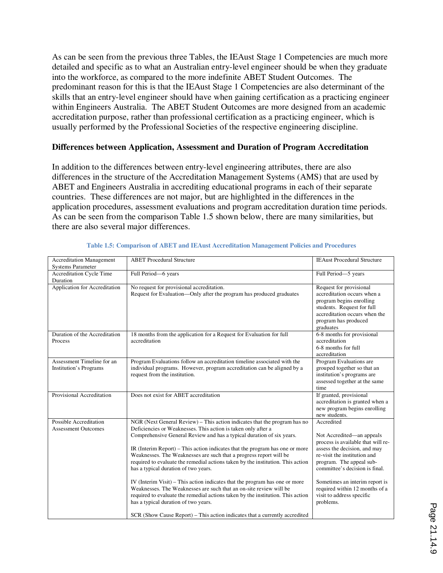As can be seen from the previous three Tables, the IEAust Stage 1 Competencies are much more detailed and specific as to what an Australian entry-level engineer should be when they graduate into the workforce, as compared to the more indefinite ABET Student Outcomes. The predominant reason for this is that the IEAust Stage 1 Competencies are also determinant of the skills that an entry-level engineer should have when gaining certification as a practicing engineer within Engineers Australia. The ABET Student Outcomes are more designed from an academic accreditation purpose, rather than professional certification as a practicing engineer, which is usually performed by the Professional Societies of the respective engineering discipline.

### **Differences between Application, Assessment and Duration of Program Accreditation**

In addition to the differences between entry-level engineering attributes, there are also differences in the structure of the Accreditation Management Systems (AMS) that are used by ABET and Engineers Australia in accrediting educational programs in each of their separate countries. These differences are not major, but are highlighted in the differences in the application procedures, assessment evaluations and program accreditation duration time periods. As can be seen from the comparison Table 1.5 shown below, there are many similarities, but there are also several major differences.

| <b>Accreditation Management</b>                      | <b>ABET</b> Procedural Structure                                                                                                                                                                                                                                                                                                                                                                                                                                                                                                                                                                                                                                                                                                                                                                                                                                    | <b>IEAust Procedural Structure</b>                                                                                                                                                                                                                                                                                        |
|------------------------------------------------------|---------------------------------------------------------------------------------------------------------------------------------------------------------------------------------------------------------------------------------------------------------------------------------------------------------------------------------------------------------------------------------------------------------------------------------------------------------------------------------------------------------------------------------------------------------------------------------------------------------------------------------------------------------------------------------------------------------------------------------------------------------------------------------------------------------------------------------------------------------------------|---------------------------------------------------------------------------------------------------------------------------------------------------------------------------------------------------------------------------------------------------------------------------------------------------------------------------|
| <b>Systems Parameter</b>                             |                                                                                                                                                                                                                                                                                                                                                                                                                                                                                                                                                                                                                                                                                                                                                                                                                                                                     |                                                                                                                                                                                                                                                                                                                           |
| Accreditation Cycle Time                             | Full Period-6 years                                                                                                                                                                                                                                                                                                                                                                                                                                                                                                                                                                                                                                                                                                                                                                                                                                                 | Full Period-5 years                                                                                                                                                                                                                                                                                                       |
| Duration                                             |                                                                                                                                                                                                                                                                                                                                                                                                                                                                                                                                                                                                                                                                                                                                                                                                                                                                     |                                                                                                                                                                                                                                                                                                                           |
| Application for Accreditation                        | No request for provisional accreditation.<br>Request for Evaluation—Only after the program has produced graduates                                                                                                                                                                                                                                                                                                                                                                                                                                                                                                                                                                                                                                                                                                                                                   | Request for provisional<br>accreditation occurs when a<br>program begins enrolling<br>students. Request for full<br>accreditation occurs when the<br>program has produced<br>graduates                                                                                                                                    |
| Duration of the Accreditation<br>Process             | 18 months from the application for a Request for Evaluation for full<br>accreditation                                                                                                                                                                                                                                                                                                                                                                                                                                                                                                                                                                                                                                                                                                                                                                               | 6-8 months for provisional<br>accreditation<br>6-8 months for full<br>accreditation                                                                                                                                                                                                                                       |
| Assessment Timeline for an<br>Institution's Programs | Program Evaluations follow an accreditation timeline associated with the<br>individual programs. However, program accreditation can be aligned by a<br>request from the institution.                                                                                                                                                                                                                                                                                                                                                                                                                                                                                                                                                                                                                                                                                | Program Evaluations are<br>grouped together so that an<br>institution's programs are<br>assessed together at the same<br>time                                                                                                                                                                                             |
| Provisional Accreditation                            | Does not exist for ABET accreditation                                                                                                                                                                                                                                                                                                                                                                                                                                                                                                                                                                                                                                                                                                                                                                                                                               | If granted, provisional<br>accreditation is granted when a<br>new program begins enrolling<br>new students.                                                                                                                                                                                                               |
| Possible Accreditation<br><b>Assessment Outcomes</b> | NGR (Next General Review) – This action indicates that the program has no<br>Deficiencies or Weaknesses. This action is taken only after a<br>Comprehensive General Review and has a typical duration of six years.<br>IR (Interim Report) - This action indicates that the program has one or more<br>Weaknesses. The Weaknesses are such that a progress report will be<br>required to evaluate the remedial actions taken by the institution. This action<br>has a typical duration of two years.<br>IV (Interim Visit) – This action indicates that the program has one or more<br>Weaknesses. The Weaknesses are such that an on-site review will be<br>required to evaluate the remedial actions taken by the institution. This action<br>has a typical duration of two years.<br>SCR (Show Cause Report) – This action indicates that a currently accredited | Accredited<br>Not Accredited—an appeals<br>process is available that will re-<br>assess the decision, and may<br>re-visit the institution and<br>program. The appeal sub-<br>committee's decision is final.<br>Sometimes an interim report is<br>required within 12 months of a<br>visit to address specific<br>problems. |

#### **Table 1.5: Comparison of ABET and IEAust Accreditation Management Policies and Procedures**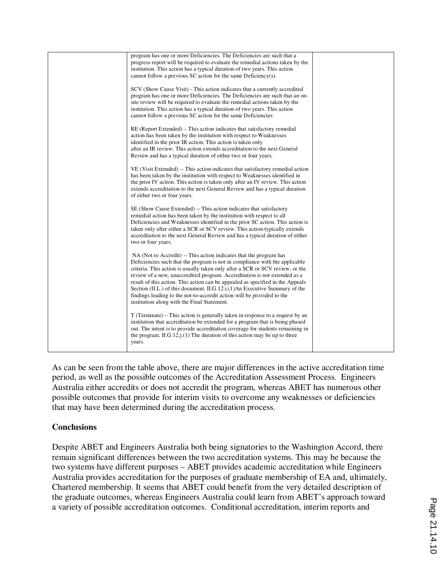| program has one or more Deficiencies. The Deficiencies are such that a<br>progress report will be required to evaluate the remedial actions taken by the<br>institution. This action has a typical duration of two years. This action<br>cannot follow a previous SC action for the same Deficiency(s).                                                                                                                                                                                                                                                                                                  |  |
|----------------------------------------------------------------------------------------------------------------------------------------------------------------------------------------------------------------------------------------------------------------------------------------------------------------------------------------------------------------------------------------------------------------------------------------------------------------------------------------------------------------------------------------------------------------------------------------------------------|--|
| SCV (Show Cause Visit) - This action indicates that a currently accredited<br>program has one or more Deficiencies. The Deficiencies are such that an on-<br>site review will be required to evaluate the remedial actions taken by the<br>institution. This action has a typical duration of two years. This action<br>cannot follow a previous SC action for the same Deficiencies                                                                                                                                                                                                                     |  |
| RE (Report Extended) – This action indicates that satisfactory remedial<br>action has been taken by the institution with respect to Weaknesses<br>identified in the prior IR action. This action is taken only<br>after an IR review. This action extends accreditation to the next General<br>Review and has a typical duration of either two or four years.                                                                                                                                                                                                                                            |  |
| VE (Visit Extended) -- This action indicates that satisfactory remedial action<br>has been taken by the institution with respect to Weaknesses identified in<br>the prior IV action. This action is taken only after an IV review. This action<br>extends accreditation to the next General Review and has a typical duration<br>of either two or four years.                                                                                                                                                                                                                                            |  |
| SE (Show Cause Extended) -- This action indicates that satisfactory<br>remedial action has been taken by the institution with respect to all<br>Deficiencies and Weaknesses identified in the prior SC action. This action is<br>taken only after either a SCR or SCV review. This action typically extends<br>accreditation to the next General Review and has a typical duration of either<br>two or four years.                                                                                                                                                                                       |  |
| NA (Not to Accredit) -- This action indicates that the program has<br>Deficiencies such that the program is not in compliance with the applicable<br>criteria. This action is usually taken only after a SCR or SCV review, or the<br>review of a new, unaccredited program. Accreditation is not extended as a<br>result of this action. This action can be appealed as specified in the Appeals<br>Section (II.L.) of this document. II.G.12.i.(1)An Executive Summary of the<br>findings leading to the not-to-accredit action will be provided to the<br>institution along with the Final Statement. |  |
| T (Terminate) – This action is generally taken in response to a request by an<br>institution that accreditation be extended for a program that is being phased<br>out. The intent is to provide accreditation coverage for students remaining in<br>the program. II.G.12. $i(1)$ The duration of this action may be up to three<br>years.                                                                                                                                                                                                                                                                |  |

As can be seen from the table above, there are major differences in the active accreditation time period, as well as the possible outcomes of the Accreditation Assessment Process. Engineers Australia either accredits or does not accredit the program, whereas ABET has numerous other possible outcomes that provide for interim visits to overcome any weaknesses or deficiencies that may have been determined during the accreditation process.

## **Conclusions**

Despite ABET and Engineers Australia both being signatories to the Washington Accord, there remain significant differences between the two accreditation systems. This may be because the two systems have different purposes – ABET provides academic accreditation while Engineers Australia provides accreditation for the purposes of graduate membership of EA and, ultimately, Chartered membership. It seems that ABET could benefit from the very detailed description of the graduate outcomes, whereas Engineers Australia could learn from ABET's approach toward a variety of possible accreditation outcomes. Conditional accreditation, interim reports and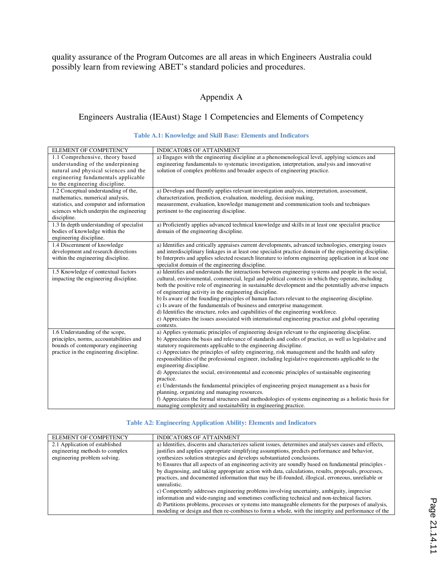quality assurance of the Program Outcomes are all areas in which Engineers Australia could possibly learn from reviewing ABET's standard policies and procedures.

# Appendix A

## Engineers Australia (IEAust) Stage 1 Competencies and Elements of Competency

### **Table A.1: Knowledge and Skill Base: Elements and Indicators**

| ELEMENT OF COMPETENCY                    | INDICATORS OF ATTAINMENT                                                                                 |
|------------------------------------------|----------------------------------------------------------------------------------------------------------|
| 1.1 Comprehensive, theory based          | a) Engages with the engineering discipline at a phenomenological level, applying sciences and            |
| understanding of the underpinning        | engineering fundamentals to systematic investigation, interpretation, analysis and innovative            |
| natural and physical sciences and the    | solution of complex problems and broader aspects of engineering practice.                                |
| engineering fundamentals applicable      |                                                                                                          |
| to the engineering discipline.           |                                                                                                          |
| 1.2 Conceptual understanding of the,     | a) Develops and fluently applies relevant investigation analysis, interpretation, assessment,            |
| mathematics, numerical analysis,         | characterization, prediction, evaluation, modeling, decision making,                                     |
| statistics, and computer and information | measurement, evaluation, knowledge management and communication tools and techniques                     |
| sciences which underpin the engineering  | pertinent to the engineering discipline.                                                                 |
| discipline.                              |                                                                                                          |
| 1.3 In depth understanding of specialist | a) Proficiently applies advanced technical knowledge and skills in at least one specialist practice      |
| bodies of knowledge within the           | domain of the engineering discipline.                                                                    |
| engineering discipline.                  |                                                                                                          |
| 1.4 Discernment of knowledge             | a) Identifies and critically appraises current developments, advanced technologies, emerging issues      |
| development and research directions      | and interdisciplinary linkages in at least one specialist practice domain of the engineering discipline. |
| within the engineering discipline.       | b) Interprets and applies selected research literature to inform engineering application in at least one |
|                                          | specialist domain of the engineering discipline.                                                         |
| 1.5 Knowledge of contextual factors      | a) Identifies and understands the interactions between engineering systems and people in the social,     |
| impacting the engineering discipline.    | cultural, environmental, commercial, legal and political contexts in which they operate, including       |
|                                          | both the positive role of engineering in sustainable development and the potentially adverse impacts     |
|                                          | of engineering activity in the engineering discipline.                                                   |
|                                          | b) Is aware of the founding principles of human factors relevant to the engineering discipline.          |
|                                          | c) Is aware of the fundamentals of business and enterprise management.                                   |
|                                          | d) Identifies the structure, roles and capabilities of the engineering workforce.                        |
|                                          | e) Appreciates the issues associated with international engineering practice and global operating        |
|                                          | contexts.                                                                                                |
| 1.6 Understanding of the scope,          | a) Applies systematic principles of engineering design relevant to the engineering discipline.           |
| principles, norms, accountabilities and  | b) Appreciates the basis and relevance of standards and codes of practice, as well as legislative and    |
| bounds of contemporary engineering       | statutory requirements applicable to the engineering discipline.                                         |
| practice in the engineering discipline.  | c) Appreciates the principles of safety engineering, risk management and the health and safety           |
|                                          | responsibilities of the professional engineer, including legislative requirements applicable to the      |
|                                          | engineering discipline.                                                                                  |
|                                          | d) Appreciates the social, environmental and economic principles of sustainable engineering              |
|                                          | practice.                                                                                                |
|                                          | e) Understands the fundamental principles of engineering project management as a basis for               |
|                                          | planning, organizing and managing resources.                                                             |
|                                          | f) Appreciates the formal structures and methodologies of systems engineering as a holistic basis for    |
|                                          | managing complexity and sustainability in engineering practice.                                          |

#### **Table A2: Engineering Application Ability: Elements and Indicators**

| ELEMENT OF COMPETENCY          | <b>INDICATORS OF ATTAINMENT</b>                                                                       |
|--------------------------------|-------------------------------------------------------------------------------------------------------|
| 2.1 Application of established | a) Identifies, discerns and characterizes salient issues, determines and analyses causes and effects, |
| engineering methods to complex | justifies and applies appropriate simplifying assumptions, predicts performance and behavior,         |
| engineering problem solving.   | synthesizes solution strategies and develops substantiated conclusions.                               |
|                                | b) Ensures that all aspects of an engineering activity are soundly based on fundamental principles -  |
|                                | by diagnosing, and taking appropriate action with data, calculations, results, proposals, processes,  |
|                                | practices, and documented information that may be ill-founded, illogical, erroneous, unreliable or    |
|                                | unrealistic.                                                                                          |
|                                | c) Competently addresses engineering problems involving uncertainty, ambiguity, imprecise             |
|                                | information and wide-ranging and sometimes conflicting technical and non-technical factors.           |
|                                | d) Partitions problems, processes or systems into manageable elements for the purposes of analysis,   |
|                                | modeling or design and then re-combines to form a whole, with the integrity and performance of the    |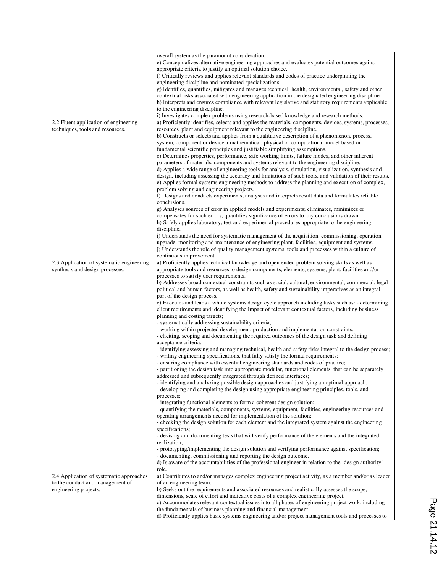|                                                                                                       | overall system as the paramount consideration.<br>e) Conceptualizes alternative engineering approaches and evaluates potential outcomes against<br>appropriate criteria to justify an optimal solution choice.<br>f) Critically reviews and applies relevant standards and codes of practice underpinning the<br>engineering discipline and nominated specializations.<br>g) Identifies, quantifies, mitigates and manages technical, health, environmental, safety and other<br>contextual risks associated with engineering application in the designated engineering discipline.<br>h) Interprets and ensures compliance with relevant legislative and statutory requirements applicable<br>to the engineering discipline.<br>i) Investigates complex problems using research-based knowledge and research methods.                                                                                                                                                                                                                                                                                                                                                                                                                                                                                                                                                                                                                                                                                                                                                                                                                                                                                                                                                                                                                                                                                                                                                                                                                                                                                                                                                                                                                                                                                                                                                                                                                                                                                      |
|-------------------------------------------------------------------------------------------------------|-------------------------------------------------------------------------------------------------------------------------------------------------------------------------------------------------------------------------------------------------------------------------------------------------------------------------------------------------------------------------------------------------------------------------------------------------------------------------------------------------------------------------------------------------------------------------------------------------------------------------------------------------------------------------------------------------------------------------------------------------------------------------------------------------------------------------------------------------------------------------------------------------------------------------------------------------------------------------------------------------------------------------------------------------------------------------------------------------------------------------------------------------------------------------------------------------------------------------------------------------------------------------------------------------------------------------------------------------------------------------------------------------------------------------------------------------------------------------------------------------------------------------------------------------------------------------------------------------------------------------------------------------------------------------------------------------------------------------------------------------------------------------------------------------------------------------------------------------------------------------------------------------------------------------------------------------------------------------------------------------------------------------------------------------------------------------------------------------------------------------------------------------------------------------------------------------------------------------------------------------------------------------------------------------------------------------------------------------------------------------------------------------------------------------------------------------------------------------------------------------------------|
| 2.2 Fluent application of engineering<br>techniques, tools and resources.                             | a) Proficiently identifies, selects and applies the materials, components, devices, systems, processes,<br>resources, plant and equipment relevant to the engineering discipline.<br>b) Constructs or selects and applies from a qualitative description of a phenomenon, process,<br>system, component or device a mathematical, physical or computational model based on<br>fundamental scientific principles and justifiable simplifying assumptions.<br>c) Determines properties, performance, safe working limits, failure modes, and other inherent<br>parameters of materials, components and systems relevant to the engineering discipline.<br>d) Applies a wide range of engineering tools for analysis, simulation, visualization, synthesis and<br>design, including assessing the accuracy and limitations of such tools, and validation of their results.<br>e) Applies formal systems engineering methods to address the planning and execution of complex,<br>problem solving and engineering projects.<br>f) Designs and conducts experiments, analyses and interprets result data and formulates reliable<br>conclusions.<br>g) Analyses sources of error in applied models and experiments; eliminates, minimizes or<br>compensates for such errors; quantifies significance of errors to any conclusions drawn.<br>h) Safely applies laboratory, test and experimental procedures appropriate to the engineering<br>discipline.<br>i) Understands the need for systematic management of the acquisition, commissioning, operation,<br>upgrade, monitoring and maintenance of engineering plant, facilities, equipment and systems.<br>j) Understands the role of quality management systems, tools and processes within a culture of                                                                                                                                                                                                                                                                                                                                                                                                                                                                                                                                                                                                                                                                                                                                                    |
| 2.3 Application of systematic engineering<br>synthesis and design processes.                          | continuous improvement.<br>a) Proficiently applies technical knowledge and open ended problem solving skills as well as<br>appropriate tools and resources to design components, elements, systems, plant, facilities and/or<br>processes to satisfy user requirements.<br>b) Addresses broad contextual constraints such as social, cultural, environmental, commercial, legal<br>political and human factors, as well as health, safety and sustainability imperatives as an integral<br>part of the design process.<br>c) Executes and leads a whole systems design cycle approach including tasks such as: - determining<br>client requirements and identifying the impact of relevant contextual factors, including business<br>planning and costing targets;<br>- systematically addressing sustainability criteria;<br>- working within projected development, production and implementation constraints;<br>- eliciting, scoping and documenting the required outcomes of the design task and defining<br>acceptance criteria;<br>- identifying assessing and managing technical, health and safety risks integral to the design process;<br>- writing engineering specifications, that fully satisfy the formal requirements;<br>- ensuring compliance with essential engineering standards and codes of practice;<br>- partitioning the design task into appropriate modular, functional elements; that can be separately<br>addressed and subsequently integrated through defined interfaces;<br>- identifying and analyzing possible design approaches and justifying an optimal approach;<br>- developing and completing the design using appropriate engineering principles, tools, and<br>processes;<br>- integrating functional elements to form a coherent design solution;<br>- quantifying the materials, components, systems, equipment, facilities, engineering resources and<br>operating arrangements needed for implementation of the solution;<br>- checking the design solution for each element and the integrated system against the engineering<br>specifications;<br>- devising and documenting tests that will verify performance of the elements and the integrated<br>realization;<br>- prototyping/implementing the design solution and verifying performance against specification;<br>- documenting, commissioning and reporting the design outcome.<br>d) Is aware of the accountabilities of the professional engineer in relation to the 'design authority'<br>role. |
| 2.4 Application of systematic approaches<br>to the conduct and management of<br>engineering projects. | a) Contributes to and/or manages complex engineering project activity, as a member and/or as leader<br>of an engineering team.<br>b) Seeks out the requirements and associated resources and realistically assesses the scope,<br>dimensions, scale of effort and indicative costs of a complex engineering project.<br>c) Accommodates relevant contextual issues into all phases of engineering project work, including<br>the fundamentals of business planning and financial management<br>d) Proficiently applies basic systems engineering and/or project management tools and processes to                                                                                                                                                                                                                                                                                                                                                                                                                                                                                                                                                                                                                                                                                                                                                                                                                                                                                                                                                                                                                                                                                                                                                                                                                                                                                                                                                                                                                                                                                                                                                                                                                                                                                                                                                                                                                                                                                                           |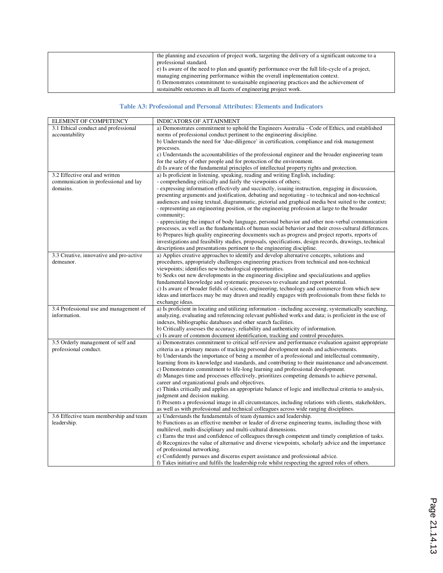| the planning and execution of project work, targeting the delivery of a significant outcome to a |
|--------------------------------------------------------------------------------------------------|
| professional standard.                                                                           |
| e) Is aware of the need to plan and quantify performance over the full life-cycle of a project,  |
| managing engineering performance within the overall implementation context.                      |
| f) Demonstrates commitment to sustainable engineering practices and the achievement of           |
| sustainable outcomes in all facets of engineering project work.                                  |

#### **Table A3: Professional and Personal Attributes: Elements and Indicators**

| ELEMENT OF COMPETENCY                   | INDICATORS OF ATTAINMENT                                                                                                                                          |
|-----------------------------------------|-------------------------------------------------------------------------------------------------------------------------------------------------------------------|
| 3.1 Ethical conduct and professional    | a) Demonstrates commitment to uphold the Engineers Australia - Code of Ethics, and established                                                                    |
| accountability                          | norms of professional conduct pertinent to the engineering discipline.                                                                                            |
|                                         | b) Understands the need for 'due-diligence' in certification, compliance and risk management                                                                      |
|                                         | processes.                                                                                                                                                        |
|                                         | c) Understands the accountabilities of the professional engineer and the broader engineering team                                                                 |
|                                         | for the safety of other people and for protection of the environment.                                                                                             |
|                                         | d) Is aware of the fundamental principles of intellectual property rights and protection.                                                                         |
| 3.2 Effective oral and written          | a) Is proficient in listening, speaking, reading and writing English, including:                                                                                  |
| communication in professional and lay   | - comprehending critically and fairly the viewpoints of others;                                                                                                   |
| domains.                                | - expressing information effectively and succinctly, issuing instruction, engaging in discussion,                                                                 |
|                                         | presenting arguments and justification, debating and negotiating - to technical and non-technical                                                                 |
|                                         | audiences and using textual, diagrammatic, pictorial and graphical media best suited to the context;                                                              |
|                                         | - representing an engineering position, or the engineering profession at large to the broader<br>community;                                                       |
|                                         | - appreciating the impact of body language, personal behavior and other non-verbal communication                                                                  |
|                                         | processes, as well as the fundamentals of human social behavior and their cross-cultural differences.                                                             |
|                                         | b) Prepares high quality engineering documents such as progress and project reports, reports of                                                                   |
|                                         | investigations and feasibility studies, proposals, specifications, design records, drawings, technical                                                            |
|                                         | descriptions and presentations pertinent to the engineering discipline.                                                                                           |
| 3.3 Creative, innovative and pro-active | a) Applies creative approaches to identify and develop alternative concepts, solutions and                                                                        |
| demeanor.                               | procedures, appropriately challenges engineering practices from technical and non-technical                                                                       |
|                                         | viewpoints; identifies new technological opportunities.                                                                                                           |
|                                         | b) Seeks out new developments in the engineering discipline and specializations and applies                                                                       |
|                                         | fundamental knowledge and systematic processes to evaluate and report potential.                                                                                  |
|                                         | c) Is aware of broader fields of science, engineering, technology and commerce from which new                                                                     |
|                                         | ideas and interfaces may be may drawn and readily engages with professionals from these fields to                                                                 |
|                                         | exchange ideas.                                                                                                                                                   |
| 3.4 Professional use and management of  | a) Is proficient in locating and utilizing information - including accessing, systematically searching,                                                           |
| information.                            | analyzing, evaluating and referencing relevant published works and data; is proficient in the use of                                                              |
|                                         | indexes, bibliographic databases and other search facilities.                                                                                                     |
|                                         | b) Critically assesses the accuracy, reliability and authenticity of information.                                                                                 |
|                                         | c) Is aware of common document identification, tracking and control procedures.                                                                                   |
| 3.5 Orderly management of self and      | a) Demonstrates commitment to critical self-review and performance evaluation against appropriate                                                                 |
| professional conduct.                   | criteria as a primary means of tracking personal development needs and achievements.                                                                              |
|                                         | b) Understands the importance of being a member of a professional and intellectual community,                                                                     |
|                                         | learning from its knowledge and standards, and contributing to their maintenance and advancement.                                                                 |
|                                         | c) Demonstrates commitment to life-long learning and professional development.                                                                                    |
|                                         | d) Manages time and processes effectively, prioritizes competing demands to achieve personal,                                                                     |
|                                         | career and organizational goals and objectives.                                                                                                                   |
|                                         | e) Thinks critically and applies an appropriate balance of logic and intellectual criteria to analysis,                                                           |
|                                         | judgment and decision making.                                                                                                                                     |
|                                         | f) Presents a professional image in all circumstances, including relations with clients, stakeholders,                                                            |
|                                         | as well as with professional and technical colleagues across wide ranging disciplines.                                                                            |
| 3.6 Effective team membership and team  | a) Understands the fundamentals of team dynamics and leadership.                                                                                                  |
| leadership.                             | b) Functions as an effective member or leader of diverse engineering teams, including those with<br>multilevel, multi-disciplinary and multi-cultural dimensions. |
|                                         | c) Earns the trust and confidence of colleagues through competent and timely completion of tasks.                                                                 |
|                                         | d) Recognizes the value of alternative and diverse viewpoints, scholarly advice and the importance                                                                |
|                                         | of professional networking.                                                                                                                                       |
|                                         | e) Confidently pursues and discerns expert assistance and professional advice.                                                                                    |
|                                         | f) Takes initiative and fulfils the leadership role whilst respecting the agreed roles of others.                                                                 |